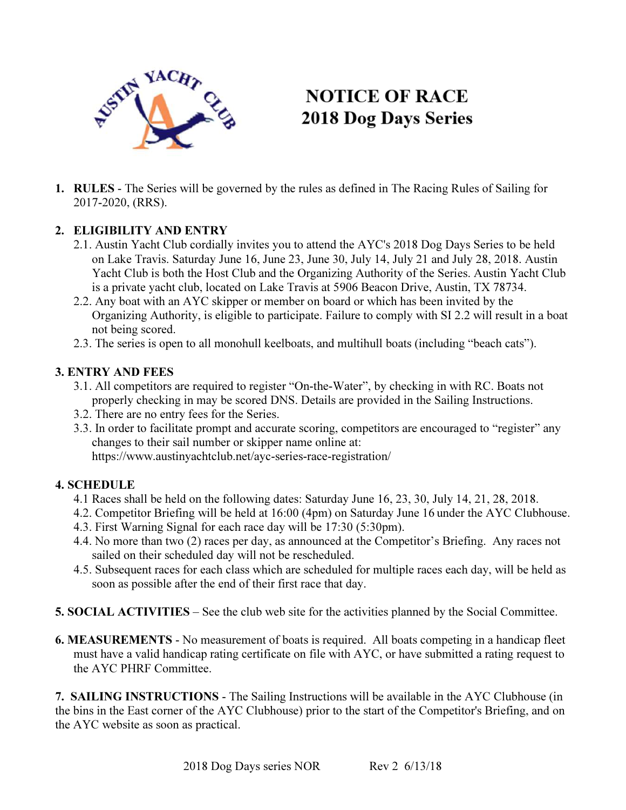

# **NOTICE OF RACE 2018 Dog Days Series**

1. RULES - The Series will be governed by the rules as defined in The Racing Rules of Sailing for 2017-2020, (RRS).

## 2. ELIGIBILITY AND ENTRY

- 2.1. Austin Yacht Club cordially invites you to attend the AYC's 2018 Dog Days Series to be held on Lake Travis. Saturday June 16, June 23, June 30, July 14, July 21 and July 28, 2018. Austin Yacht Club is both the Host Club and the Organizing Authority of the Series. Austin Yacht Club is a private yacht club, located on Lake Travis at 5906 Beacon Drive, Austin, TX 78734.
- 2.2. Any boat with an AYC skipper or member on board or which has been invited by the Organizing Authority, is eligible to participate. Failure to comply with SI 2.2 will result in a boat not being scored.
- 2.3. The series is open to all monohull keelboats, and multihull boats (including "beach cats").

### 3. ENTRY AND FEES

- 3.1. All competitors are required to register "On-the-Water", by checking in with RC. Boats not properly checking in may be scored DNS. Details are provided in the Sailing Instructions.
- 3.2. There are no entry fees for the Series.
- 3.3. In order to facilitate prompt and accurate scoring, competitors are encouraged to "register" any changes to their sail number or skipper name online at: https://www.austinyachtclub.net/ayc-series-race-registration/

#### 4. SCHEDULE

- 4.1 Races shall be held on the following dates: Saturday June 16, 23, 30, July 14, 21, 28, 2018.
- 4.2. Competitor Briefing will be held at 16:00 (4pm) on Saturday June 16 under the AYC Clubhouse.
- 4.3. First Warning Signal for each race day will be 17:30 (5:30pm).
- 4.4. No more than two (2) races per day, as announced at the Competitor's Briefing. Any races not sailed on their scheduled day will not be rescheduled.
- 4.5. Subsequent races for each class which are scheduled for multiple races each day, will be held as soon as possible after the end of their first race that day.
- 5. SOCIAL ACTIVITIES See the club web site for the activities planned by the Social Committee.
- 6. MEASUREMENTS No measurement of boats is required. All boats competing in a handicap fleet must have a valid handicap rating certificate on file with AYC, or have submitted a rating request to the AYC PHRF Committee.

7. SAILING INSTRUCTIONS - The Sailing Instructions will be available in the AYC Clubhouse (in the bins in the East corner of the AYC Clubhouse) prior to the start of the Competitor's Briefing, and on the AYC website as soon as practical.